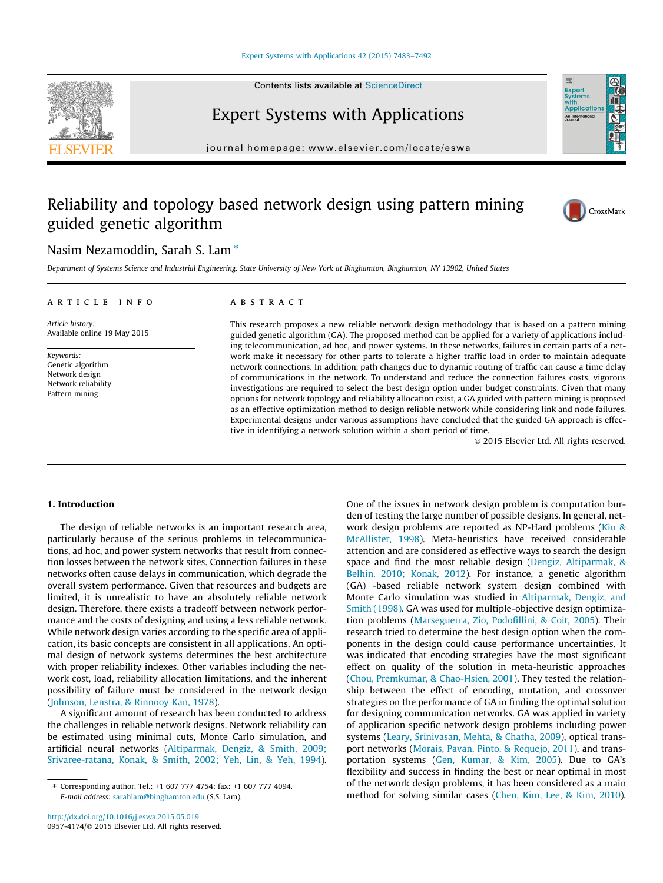#### [Expert Systems with Applications 42 \(2015\) 7483–7492](http://dx.doi.org/10.1016/j.eswa.2015.05.019)

Contents lists available at [ScienceDirect](http://www.sciencedirect.com/science/journal/09574174)



journal homepage: [www.elsevier.com/locate/eswa](http://www.elsevier.com/locate/eswa)

## Reliability and topology based network design using pattern mining guided genetic algorithm



Expert<br>System: **Application** An Internation

### Nasim Nezamoddin, Sarah S. Lam  $*$

Department of Systems Science and Industrial Engineering, State University of New York at Binghamton, Binghamton, NY 13902, United States

#### article info

Article history: Available online 19 May 2015

Keywords: Genetic algorithm Network design Network reliability Pattern mining

#### **ABSTRACT**

This research proposes a new reliable network design methodology that is based on a pattern mining guided genetic algorithm (GA). The proposed method can be applied for a variety of applications including telecommunication, ad hoc, and power systems. In these networks, failures in certain parts of a network make it necessary for other parts to tolerate a higher traffic load in order to maintain adequate network connections. In addition, path changes due to dynamic routing of traffic can cause a time delay of communications in the network. To understand and reduce the connection failures costs, vigorous investigations are required to select the best design option under budget constraints. Given that many options for network topology and reliability allocation exist, a GA guided with pattern mining is proposed as an effective optimization method to design reliable network while considering link and node failures. Experimental designs under various assumptions have concluded that the guided GA approach is effective in identifying a network solution within a short period of time.

- 2015 Elsevier Ltd. All rights reserved.

#### 1. Introduction

The design of reliable networks is an important research area, particularly because of the serious problems in telecommunications, ad hoc, and power system networks that result from connection losses between the network sites. Connection failures in these networks often cause delays in communication, which degrade the overall system performance. Given that resources and budgets are limited, it is unrealistic to have an absolutely reliable network design. Therefore, there exists a tradeoff between network performance and the costs of designing and using a less reliable network. While network design varies according to the specific area of application, its basic concepts are consistent in all applications. An optimal design of network systems determines the best architecture with proper reliability indexes. Other variables including the network cost, load, reliability allocation limitations, and the inherent possibility of failure must be considered in the network design ([Johnson, Lenstra, & Rinnooy Kan, 1978\)](#page--1-0).

A significant amount of research has been conducted to address the challenges in reliable network designs. Network reliability can be estimated using minimal cuts, Monte Carlo simulation, and artificial neural networks ([Altiparmak, Dengiz, & Smith, 2009;](#page--1-0) [Srivaree-ratana, Konak, & Smith, 2002; Yeh, Lin, & Yeh, 1994\)](#page--1-0).

One of the issues in network design problem is computation burden of testing the large number of possible designs. In general, network design problems are reported as NP-Hard problems ([Kiu &](#page--1-0) [McAllister, 1998](#page--1-0)). Meta-heuristics have received considerable attention and are considered as effective ways to search the design space and find the most reliable design ([Dengiz, Altiparmak, &](#page--1-0) [Belhin, 2010; Konak, 2012\)](#page--1-0). For instance, a genetic algorithm (GA) -based reliable network system design combined with Monte Carlo simulation was studied in [Altiparmak, Dengiz, and](#page--1-0) [Smith \(1998\).](#page--1-0) GA was used for multiple-objective design optimization problems [\(Marseguerra, Zio, Podofillini, & Coit, 2005\)](#page--1-0). Their research tried to determine the best design option when the components in the design could cause performance uncertainties. It was indicated that encoding strategies have the most significant effect on quality of the solution in meta-heuristic approaches ([Chou, Premkumar, & Chao-Hsien, 2001\)](#page--1-0). They tested the relationship between the effect of encoding, mutation, and crossover strategies on the performance of GA in finding the optimal solution for designing communication networks. GA was applied in variety of application specific network design problems including power systems ([Leary, Srinivasan, Mehta, & Chatha, 2009\)](#page--1-0), optical transport networks [\(Morais, Pavan, Pinto, & Requejo, 2011\)](#page--1-0), and transportation systems ([Gen, Kumar, & Kim, 2005\)](#page--1-0). Due to GA's flexibility and success in finding the best or near optimal in most of the network design problems, it has been considered as a main method for solving similar cases [\(Chen, Kim, Lee, & Kim, 2010\)](#page--1-0).



<sup>⇑</sup> Corresponding author. Tel.: +1 607 777 4754; fax: +1 607 777 4094. E-mail address: [sarahlam@binghamton.edu](mailto:sarahlam@binghamton.edu) (S.S. Lam).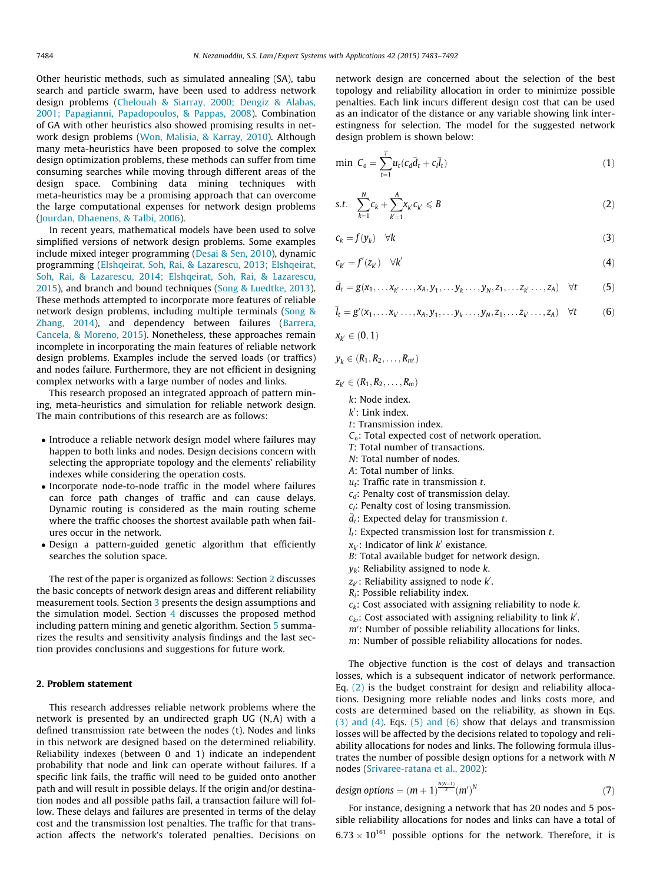Other heuristic methods, such as simulated annealing (SA), tabu search and particle swarm, have been used to address network design problems ([Chelouah & Siarray, 2000; Dengiz & Alabas,](#page--1-0) [2001; Papagianni, Papadopoulos, & Pappas, 2008](#page--1-0)). Combination of GA with other heuristics also showed promising results in network design problems ([Won, Malisia, & Karray, 2010\)](#page--1-0). Although many meta-heuristics have been proposed to solve the complex design optimization problems, these methods can suffer from time consuming searches while moving through different areas of the design space. Combining data mining techniques with meta-heuristics may be a promising approach that can overcome the large computational expenses for network design problems ([Jourdan, Dhaenens, & Talbi, 2006\)](#page--1-0).

In recent years, mathematical models have been used to solve simplified versions of network design problems. Some examples include mixed integer programming ([Desai & Sen, 2010\)](#page--1-0), dynamic programming ([Elshqeirat, Soh, Rai, & Lazarescu, 2013; Elshqeirat,](#page--1-0) [Soh, Rai, & Lazarescu, 2014; Elshqeirat, Soh, Rai, & Lazarescu,](#page--1-0) [2015\)](#page--1-0), and branch and bound techniques ([Song & Luedtke, 2013\)](#page--1-0). These methods attempted to incorporate more features of reliable network design problems, including multiple terminals ([Song &](#page--1-0) [Zhang, 2014\)](#page--1-0), and dependency between failures [\(Barrera,](#page--1-0) [Cancela, & Moreno, 2015\)](#page--1-0). Nonetheless, these approaches remain incomplete in incorporating the main features of reliable network design problems. Examples include the served loads (or traffics) and nodes failure. Furthermore, they are not efficient in designing complex networks with a large number of nodes and links.

This research proposed an integrated approach of pattern mining, meta-heuristics and simulation for reliable network design. The main contributions of this research are as follows:

- Introduce a reliable network design model where failures may happen to both links and nodes. Design decisions concern with selecting the appropriate topology and the elements' reliability indexes while considering the operation costs.
- Incorporate node-to-node traffic in the model where failures can force path changes of traffic and can cause delays. Dynamic routing is considered as the main routing scheme where the traffic chooses the shortest available path when failures occur in the network.
- Design a pattern-guided genetic algorithm that efficiently searches the solution space.

The rest of the paper is organized as follows: Section 2 discusses the basic concepts of network design areas and different reliability measurement tools. Section [3](#page--1-0) presents the design assumptions and the simulation model. Section [4](#page--1-0) discusses the proposed method including pattern mining and genetic algorithm. Section [5](#page--1-0) summarizes the results and sensitivity analysis findings and the last section provides conclusions and suggestions for future work.

#### 2. Problem statement

This research addresses reliable network problems where the network is presented by an undirected graph UG (N,A) with a defined transmission rate between the nodes (t). Nodes and links in this network are designed based on the determined reliability. Reliability indexes (between 0 and 1) indicate an independent probability that node and link can operate without failures. If a specific link fails, the traffic will need to be guided onto another path and will result in possible delays. If the origin and/or destination nodes and all possible paths fail, a transaction failure will follow. These delays and failures are presented in terms of the delay cost and the transmission lost penalties. The traffic for that transaction affects the network's tolerated penalties. Decisions on network design are concerned about the selection of the best topology and reliability allocation in order to minimize possible penalties. Each link incurs different design cost that can be used as an indicator of the distance or any variable showing link interestingness for selection. The model for the suggested network design problem is shown below:

$$
\min \ C_o = \sum_{t=1}^{T} u_t (c_d \bar{d}_t + c_l \bar{l}_t) \tag{1}
$$

$$
s.t. \quad \sum_{k=1}^{N} c_k + \sum_{k'=1}^{A} \chi_k c_k \leq B \tag{2}
$$

$$
c_k = f(y_k) \quad \forall k \tag{3}
$$

$$
c_{k'} = f'(z_{k'}) \quad \forall k' \tag{4}
$$

$$
\bar{d}_t = g(x_1, \dots, x_{k'}, \dots, x_A, y_1, \dots, y_k, \dots, y_N, z_1, \dots, z_{k'}, \dots, z_A) \quad \forall t \tag{5}
$$

$$
\bar{l}_t = g'(x_1, \ldots x_{k'} \ldots, x_A, y_1, \ldots y_k \ldots, y_N, z_1, \ldots z_{k'} \ldots, z_A) \quad \forall t \tag{6}
$$

$$
x_{k'}\in(0,1)
$$

$$
y_k \in (R_1, R_2, \ldots, R_{m'})
$$

$$
z_{k'}\in (R_1,R_2,\ldots,R_m)
$$

k: Node index.

- $k'$ : Link index.
- t: Transmission index.
- $C<sub>o</sub>$ : Total expected cost of network operation.
- T: Total number of transactions.
- N: Total number of nodes.
- A: Total number of links.
- $u_t$ : Traffic rate in transmission t.
- $c_d$ : Penalty cost of transmission delay.
- $c_i$ : Penalty cost of losing transmission.
- $\bar{d}_t$ : Expected delay for transmission t.
- $\overline{l}_t$ : Expected transmission lost for transmission t.
- $x_{k'}$ : Indicator of link  $k'$  existance.
- B: Total available budget for network design.
- $y_k$ : Reliability assigned to node  $k$ .
- $z_{k'}$ : Reliability assigned to node  $k'$ .
- $R_i$ : Possible reliability index.
- $c_k$ : Cost associated with assigning reliability to node  $k$ .
- $c_{k}$ : Cost associated with assigning reliability to link  $k'$ .
- $m'$ : Number of possible reliability allocations for links.
- m: Number of possible reliability allocations for nodes.

The objective function is the cost of delays and transaction losses, which is a subsequent indicator of network performance. Eq. (2) is the budget constraint for design and reliability allocations. Designing more reliable nodes and links costs more, and costs are determined based on the reliability, as shown in Eqs. (3) and (4). Eqs. (5) and (6) show that delays and transmission losses will be affected by the decisions related to topology and reliability allocations for nodes and links. The following formula illustrates the number of possible design options for a network with N nodes ([Srivaree-ratana et al., 2002](#page--1-0)):

$$
design options = (m+1)^{\frac{N(N-1)}{2}} (m')^N
$$
 (7)

For instance, designing a network that has 20 nodes and 5 possible reliability allocations for nodes and links can have a total of  $6.73\times10^{161}$  possible options for the network. Therefore, it is